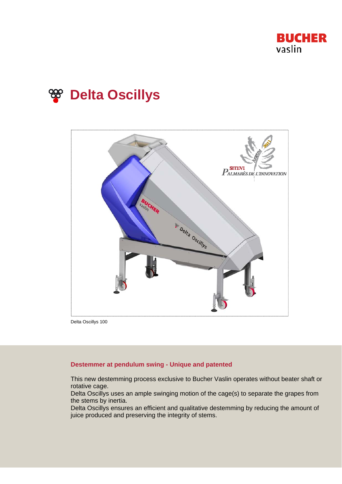





Delta Oscillys 100

# **Destemmer at pendulum swing - Unique and patented**

This new destemming process exclusive to Bucher Vaslin operates without beater shaft or rotative cage.

Delta Oscillys uses an ample swinging motion of the cage(s) to separate the grapes from the stems by inertia.

Delta Oscillys ensures an efficient and qualitative destemming by reducing the amount of juice produced and preserving the integrity of stems.